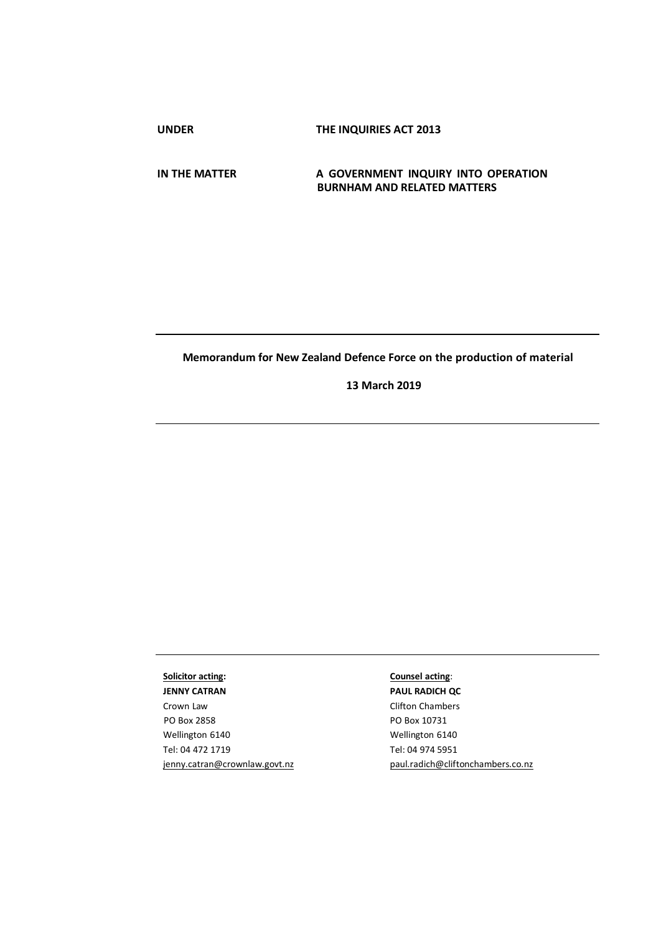**UNDER THE INQUIRIES ACT 2013**

### **IN THE MATTER A GOVERNMENT INQUIRY INTO OPERATION BURNHAM AND RELATED MATTERS**

## **Memorandum for New Zealand Defence Force on the production of material**

**13 March 2019**

# **Solicitor acting:**

**JENNY CATRAN**  Crown Law PO Box 2858 Wellington 6140 Tel: 04 472 1719 [jenny.catran@crownlaw.govt.nz](mailto:jenny.catran@crownlaw.govt.nz)

## **Counsel acting**:

**PAUL RADICH QC**  Clifton Chambers PO Box 10731 Wellington 6140 Tel: 04 974 5951 [paul.radich@cliftonchambers.co.nz](mailto:paul.radich@cliftonchambers.co.nz)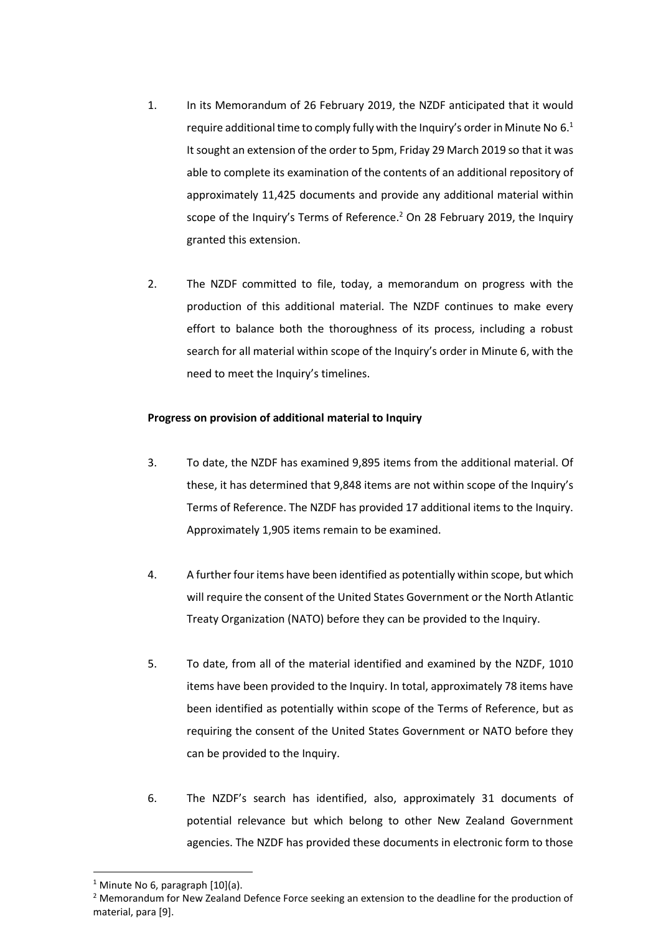- 1. In its Memorandum of 26 February 2019, the NZDF anticipated that it would require additional time to comply fully with the Inquiry's order in Minute No  $6<sup>1</sup>$ It sought an extension of the order to 5pm, Friday 29 March 2019 so that it was able to complete its examination of the contents of an additional repository of approximately 11,425 documents and provide any additional material within scope of the Inquiry's Terms of Reference. <sup>2</sup> On 28 February 2019, the Inquiry granted this extension.
- 2. The NZDF committed to file, today, a memorandum on progress with the production of this additional material. The NZDF continues to make every effort to balance both the thoroughness of its process, including a robust search for all material within scope of the Inquiry's order in Minute 6, with the need to meet the Inquiry's timelines.

## **Progress on provision of additional material to Inquiry**

- 3. To date, the NZDF has examined 9,895 items from the additional material. Of these, it has determined that 9,848 items are not within scope of the Inquiry's Terms of Reference. The NZDF has provided 17 additional items to the Inquiry. Approximately 1,905 items remain to be examined.
- 4. A further four items have been identified as potentially within scope, but which will require the consent of the United States Government or the North Atlantic Treaty Organization (NATO) before they can be provided to the Inquiry.
- 5. To date, from all of the material identified and examined by the NZDF, 1010 items have been provided to the Inquiry. In total, approximately 78 items have been identified as potentially within scope of the Terms of Reference, but as requiring the consent of the United States Government or NATO before they can be provided to the Inquiry.
- 6. The NZDF's search has identified, also, approximately 31 documents of potential relevance but which belong to other New Zealand Government agencies. The NZDF has provided these documents in electronic form to those

**.** 

<sup>&</sup>lt;sup>1</sup> Minute No 6, paragraph  $[10](a)$ .

<sup>&</sup>lt;sup>2</sup> Memorandum for New Zealand Defence Force seeking an extension to the deadline for the production of material, para [9].